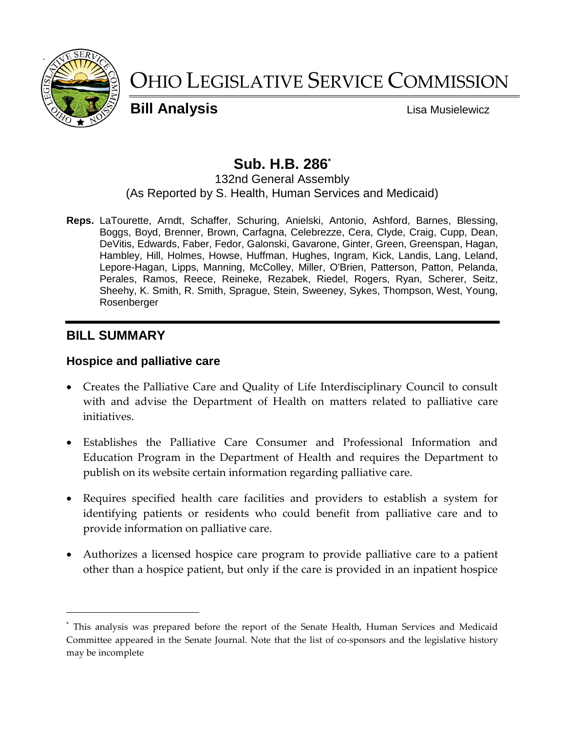

# OHIO LEGISLATIVE SERVICE COMMISSION

**Bill Analysis Lisa Musielewicz** 

## **Sub. H.B. 286\***

#### 132nd General Assembly (As Reported by S. Health, Human Services and Medicaid)

**Reps.** LaTourette, Arndt, Schaffer, Schuring, Anielski, Antonio, Ashford, Barnes, Blessing, Boggs, Boyd, Brenner, Brown, Carfagna, Celebrezze, Cera, Clyde, Craig, Cupp, Dean, DeVitis, Edwards, Faber, Fedor, Galonski, Gavarone, Ginter, Green, Greenspan, Hagan, Hambley, Hill, Holmes, Howse, Huffman, Hughes, Ingram, Kick, Landis, Lang, Leland, Lepore-Hagan, Lipps, Manning, McColley, Miller, O'Brien, Patterson, Patton, Pelanda, Perales, Ramos, Reece, Reineke, Rezabek, Riedel, Rogers, Ryan, Scherer, Seitz, Sheehy, K. Smith, R. Smith, Sprague, Stein, Sweeney, Sykes, Thompson, West, Young, Rosenberger

## **BILL SUMMARY**

 $\overline{a}$ 

## **Hospice and palliative care**

- Creates the Palliative Care and Quality of Life Interdisciplinary Council to consult with and advise the Department of Health on matters related to palliative care initiatives.
- Establishes the Palliative Care Consumer and Professional Information and Education Program in the Department of Health and requires the Department to publish on its website certain information regarding palliative care.
- Requires specified health care facilities and providers to establish a system for identifying patients or residents who could benefit from palliative care and to provide information on palliative care.
- Authorizes a licensed hospice care program to provide palliative care to a patient other than a hospice patient, but only if the care is provided in an inpatient hospice

<sup>\*</sup> This analysis was prepared before the report of the Senate Health, Human Services and Medicaid Committee appeared in the Senate Journal. Note that the list of co-sponsors and the legislative history may be incomplete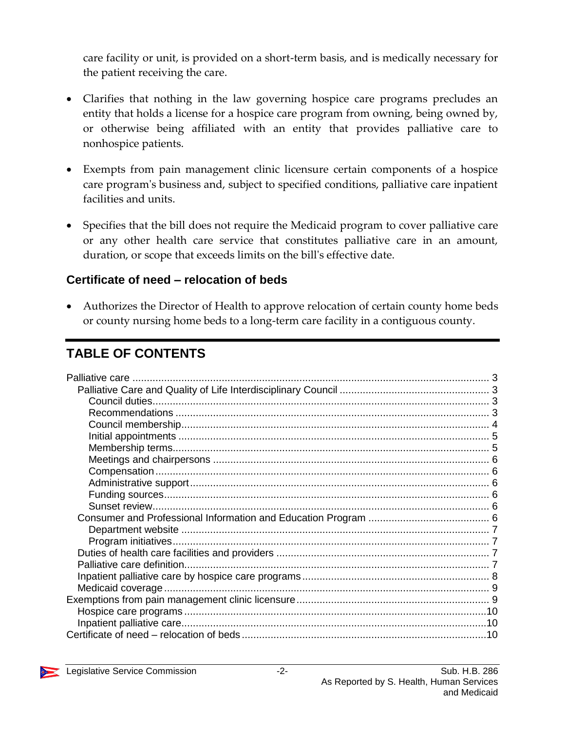care facility or unit, is provided on a short-term basis, and is medically necessary for the patient receiving the care.

- Clarifies that nothing in the law governing hospice care programs precludes an entity that holds a license for a hospice care program from owning, being owned by, or otherwise being affiliated with an entity that provides palliative care to nonhospice patients.
- Exempts from pain management clinic licensure certain components of a hospice care program's business and, subject to specified conditions, palliative care inpatient facilities and units.
- Specifies that the bill does not require the Medicaid program to cover palliative care or any other health care service that constitutes palliative care in an amount, duration, or scope that exceeds limits on the bill's effective date.

## **Certificate of need – relocation of beds**

 Authorizes the Director of Health to approve relocation of certain county home beds or county nursing home beds to a long-term care facility in a contiguous county.

## **TABLE OF CONTENTS**

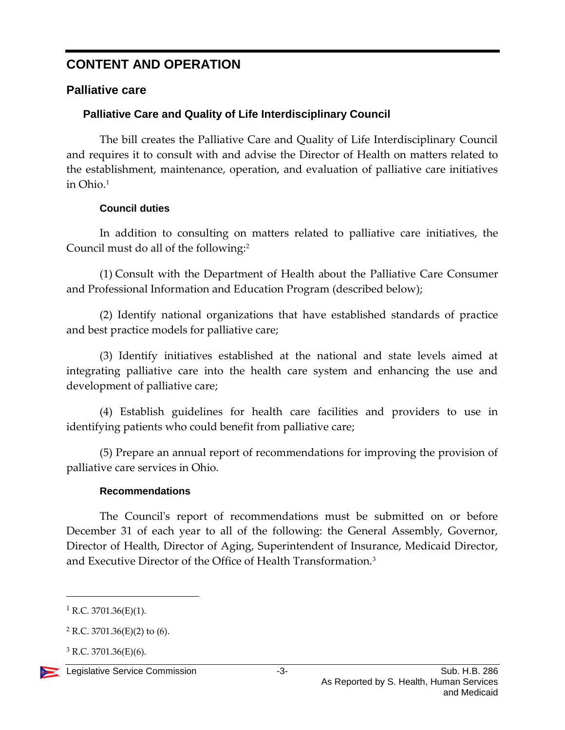## **CONTENT AND OPERATION**

## <span id="page-2-0"></span>**Palliative care**

## <span id="page-2-1"></span>**Palliative Care and Quality of Life Interdisciplinary Council**

The bill creates the Palliative Care and Quality of Life Interdisciplinary Council and requires it to consult with and advise the Director of Health on matters related to the establishment, maintenance, operation, and evaluation of palliative care initiatives in Ohio.<sup>1</sup>

### **Council duties**

<span id="page-2-2"></span>In addition to consulting on matters related to palliative care initiatives, the Council must do all of the following:<sup>2</sup>

(1) Consult with the Department of Health about the Palliative Care Consumer and Professional Information and Education Program (described below);

(2) Identify national organizations that have established standards of practice and best practice models for palliative care;

(3) Identify initiatives established at the national and state levels aimed at integrating palliative care into the health care system and enhancing the use and development of palliative care;

(4) Establish guidelines for health care facilities and providers to use in identifying patients who could benefit from palliative care;

(5) Prepare an annual report of recommendations for improving the provision of palliative care services in Ohio.

## **Recommendations**

<span id="page-2-3"></span>The Council's report of recommendations must be submitted on or before December 31 of each year to all of the following: the General Assembly, Governor, Director of Health, Director of Aging, Superintendent of Insurance, Medicaid Director, and Executive Director of the Office of Health Transformation.<sup>3</sup>

 $3$  R.C. 3701.36(E)(6).



 $1$  R.C. 3701.36(E)(1).

 $2$  R.C. 3701.36(E)(2) to (6).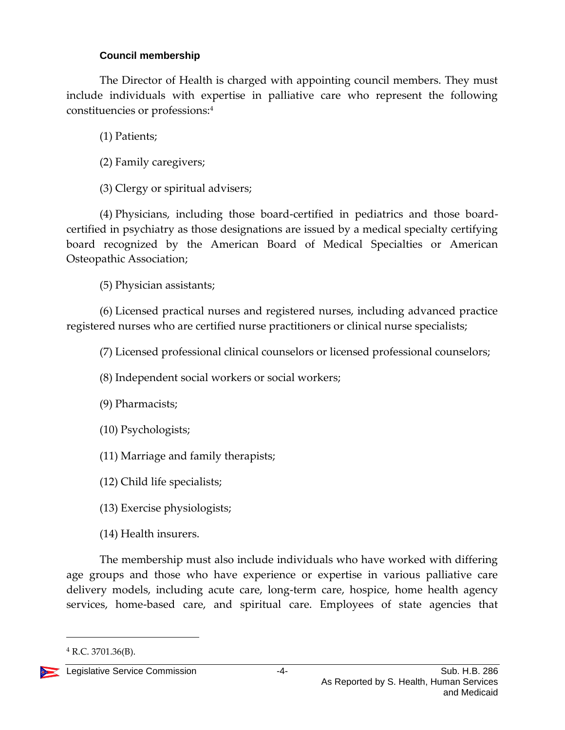### **Council membership**

<span id="page-3-0"></span>The Director of Health is charged with appointing council members. They must include individuals with expertise in palliative care who represent the following constituencies or professions:<sup>4</sup>

(1) Patients;

(2) Family caregivers;

(3) Clergy or spiritual advisers;

(4) Physicians, including those board-certified in pediatrics and those boardcertified in psychiatry as those designations are issued by a medical specialty certifying board recognized by the American Board of Medical Specialties or American Osteopathic Association;

(5) Physician assistants;

(6) Licensed practical nurses and registered nurses, including advanced practice registered nurses who are certified nurse practitioners or clinical nurse specialists;

(7) Licensed professional clinical counselors or licensed professional counselors;

(8) Independent social workers or social workers;

(9) Pharmacists;

(10) Psychologists;

(11) Marriage and family therapists;

(12) Child life specialists;

(13) Exercise physiologists;

(14) Health insurers.

The membership must also include individuals who have worked with differing age groups and those who have experience or expertise in various palliative care delivery models, including acute care, long-term care, hospice, home health agency services, home-based care, and spiritual care. Employees of state agencies that

 $^{4}$  R.C. 3701.36(B).

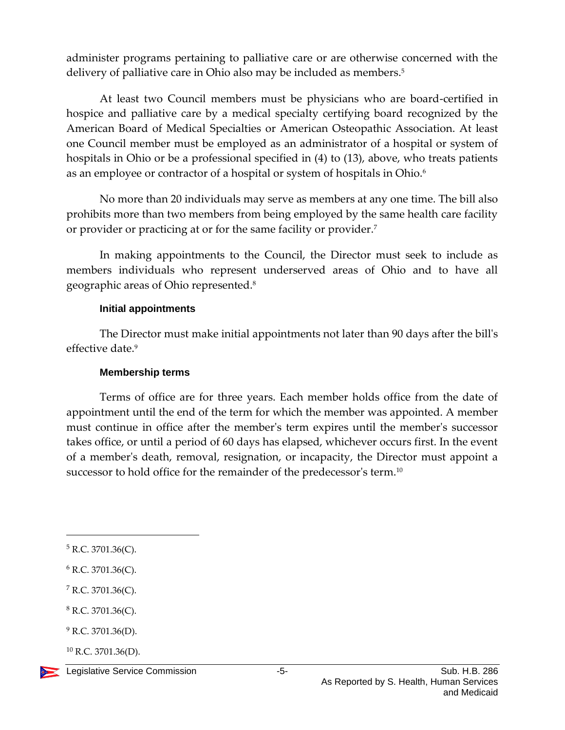administer programs pertaining to palliative care or are otherwise concerned with the delivery of palliative care in Ohio also may be included as members.<sup>5</sup>

At least two Council members must be physicians who are board-certified in hospice and palliative care by a medical specialty certifying board recognized by the American Board of Medical Specialties or American Osteopathic Association. At least one Council member must be employed as an administrator of a hospital or system of hospitals in Ohio or be a professional specified in (4) to (13), above, who treats patients as an employee or contractor of a hospital or system of hospitals in Ohio.<sup>6</sup>

No more than 20 individuals may serve as members at any one time. The bill also prohibits more than two members from being employed by the same health care facility or provider or practicing at or for the same facility or provider.<sup>7</sup>

In making appointments to the Council, the Director must seek to include as members individuals who represent underserved areas of Ohio and to have all geographic areas of Ohio represented.<sup>8</sup>

#### **Initial appointments**

<span id="page-4-0"></span>The Director must make initial appointments not later than 90 days after the bill's effective date.<sup>9</sup>

#### **Membership terms**

<span id="page-4-1"></span>Terms of office are for three years. Each member holds office from the date of appointment until the end of the term for which the member was appointed. A member must continue in office after the member's term expires until the member's successor takes office, or until a period of 60 days has elapsed, whichever occurs first. In the event of a member's death, removal, resignation, or incapacity, the Director must appoint a successor to hold office for the remainder of the predecessor's term.<sup>10</sup>

- <sup>8</sup> R.C. 3701.36(C).
- $9$  R.C. 3701.36(D).
- $^{10}$  R.C. 3701.36(D).



 $5$  R.C. 3701.36(C).

<sup>6</sup> R.C. 3701.36(C).

<sup>7</sup> R.C. 3701.36(C).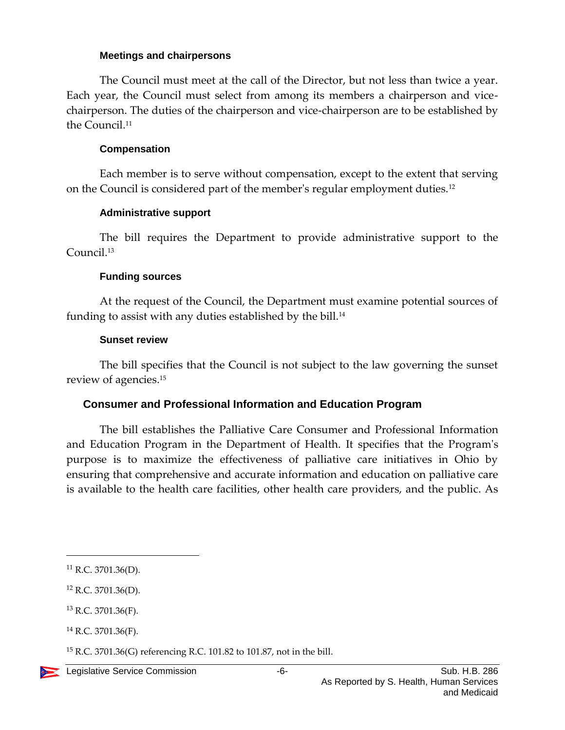#### **Meetings and chairpersons**

<span id="page-5-0"></span>The Council must meet at the call of the Director, but not less than twice a year. Each year, the Council must select from among its members a chairperson and vicechairperson. The duties of the chairperson and vice-chairperson are to be established by the Council.<sup>11</sup>

#### **Compensation**

<span id="page-5-1"></span>Each member is to serve without compensation, except to the extent that serving on the Council is considered part of the member's regular employment duties.<sup>12</sup>

#### **Administrative support**

<span id="page-5-2"></span>The bill requires the Department to provide administrative support to the Council. 13

#### **Funding sources**

<span id="page-5-3"></span>At the request of the Council, the Department must examine potential sources of funding to assist with any duties established by the bill.<sup>14</sup>

#### **Sunset review**

<span id="page-5-4"></span>The bill specifies that the Council is not subject to the law governing the sunset review of agencies.<sup>15</sup>

#### <span id="page-5-5"></span>**Consumer and Professional Information and Education Program**

The bill establishes the Palliative Care Consumer and Professional Information and Education Program in the Department of Health. It specifies that the Program's purpose is to maximize the effectiveness of palliative care initiatives in Ohio by ensuring that comprehensive and accurate information and education on palliative care is available to the health care facilities, other health care providers, and the public. As

 $\overline{a}$ 

<sup>15</sup> R.C. 3701.36(G) referencing R.C. 101.82 to 101.87, not in the bill.

<sup>11</sup> R.C. 3701.36(D).

 $12$  R.C. 3701.36(D).

<sup>13</sup> R.C. 3701.36(F).

 $14$  R.C. 3701.36(F).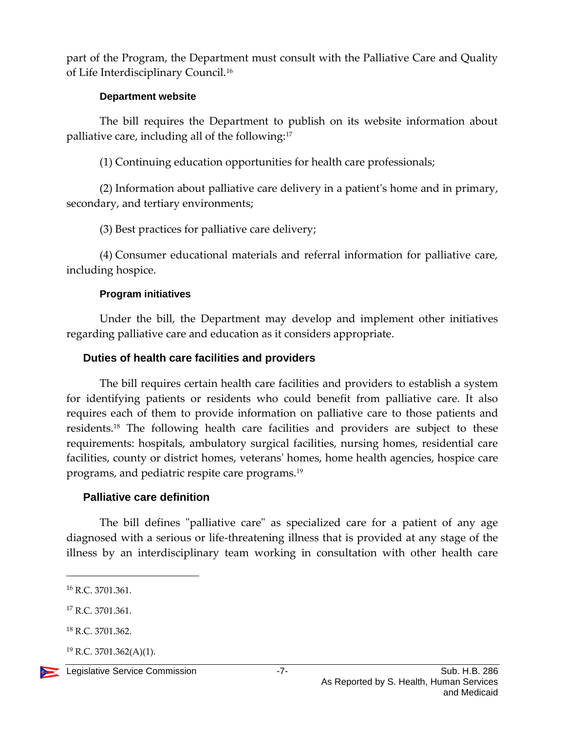part of the Program, the Department must consult with the Palliative Care and Quality of Life Interdisciplinary Council.<sup>16</sup>

#### **Department website**

<span id="page-6-0"></span>The bill requires the Department to publish on its website information about palliative care, including all of the following:<sup>17</sup>

(1) Continuing education opportunities for health care professionals;

(2) Information about palliative care delivery in a patient's home and in primary, secondary, and tertiary environments;

(3) Best practices for palliative care delivery;

(4) Consumer educational materials and referral information for palliative care, including hospice.

### **Program initiatives**

<span id="page-6-1"></span>Under the bill, the Department may develop and implement other initiatives regarding palliative care and education as it considers appropriate.

## <span id="page-6-2"></span>**Duties of health care facilities and providers**

The bill requires certain health care facilities and providers to establish a system for identifying patients or residents who could benefit from palliative care. It also requires each of them to provide information on palliative care to those patients and residents. <sup>18</sup> The following health care facilities and providers are subject to these requirements: hospitals, ambulatory surgical facilities, nursing homes, residential care facilities, county or district homes, veterans' homes, home health agencies, hospice care programs, and pediatric respite care programs.<sup>19</sup>

## <span id="page-6-3"></span>**Palliative care definition**

The bill defines "palliative care" as specialized care for a patient of any age diagnosed with a serious or life-threatening illness that is provided at any stage of the illness by an interdisciplinary team working in consultation with other health care

 $^{19}$  R.C. 3701.362(A)(1).



<sup>16</sup> R.C. 3701.361.

<sup>&</sup>lt;sup>17</sup> R.C. 3701.361.

<sup>18</sup> R.C. 3701.362.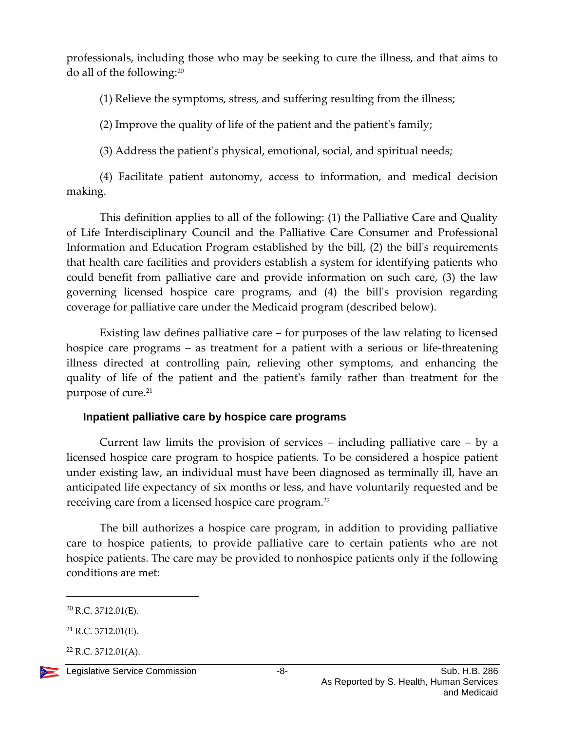professionals, including those who may be seeking to cure the illness, and that aims to do all of the following:<sup>20</sup>

(1) Relieve the symptoms, stress, and suffering resulting from the illness;

(2) Improve the quality of life of the patient and the patient's family;

(3) Address the patient's physical, emotional, social, and spiritual needs;

(4) Facilitate patient autonomy, access to information, and medical decision making.

This definition applies to all of the following: (1) the Palliative Care and Quality of Life Interdisciplinary Council and the Palliative Care Consumer and Professional Information and Education Program established by the bill, (2) the bill's requirements that health care facilities and providers establish a system for identifying patients who could benefit from palliative care and provide information on such care, (3) the law governing licensed hospice care programs, and (4) the bill's provision regarding coverage for palliative care under the Medicaid program (described below).

Existing law defines palliative care – for purposes of the law relating to licensed hospice care programs – as treatment for a patient with a serious or life-threatening illness directed at controlling pain, relieving other symptoms, and enhancing the quality of life of the patient and the patient's family rather than treatment for the purpose of cure.<sup>21</sup>

## <span id="page-7-0"></span>**Inpatient palliative care by hospice care programs**

Current law limits the provision of services – including palliative care – by a licensed hospice care program to hospice patients. To be considered a hospice patient under existing law, an individual must have been diagnosed as terminally ill, have an anticipated life expectancy of six months or less, and have voluntarily requested and be receiving care from a licensed hospice care program.<sup>22</sup>

The bill authorizes a hospice care program, in addition to providing palliative care to hospice patients, to provide palliative care to certain patients who are not hospice patients. The care may be provided to nonhospice patients only if the following conditions are met:

 $22$  R.C. 3712.01(A).



 $20$  R.C. 3712.01(E).

<sup>21</sup> R.C. 3712.01(E).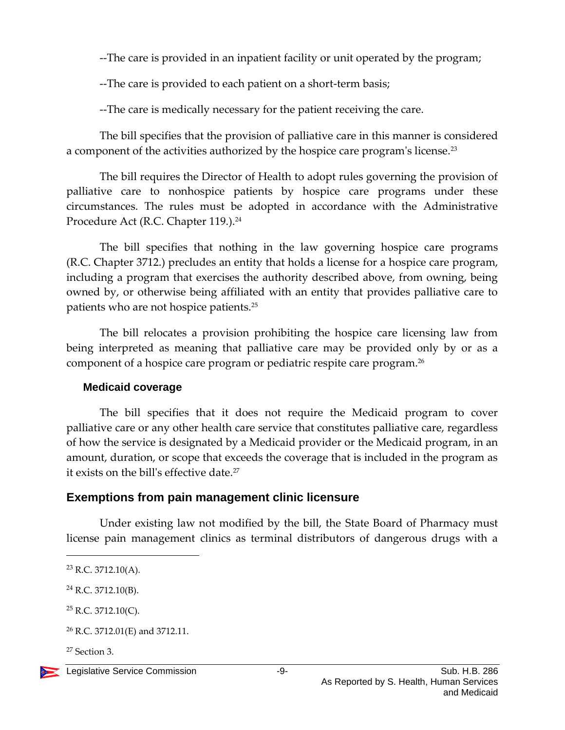--The care is provided in an inpatient facility or unit operated by the program;

--The care is provided to each patient on a short-term basis;

--The care is medically necessary for the patient receiving the care.

The bill specifies that the provision of palliative care in this manner is considered a component of the activities authorized by the hospice care program's license.<sup>23</sup>

The bill requires the Director of Health to adopt rules governing the provision of palliative care to nonhospice patients by hospice care programs under these circumstances. The rules must be adopted in accordance with the Administrative Procedure Act (R.C. Chapter 119.).<sup>24</sup>

The bill specifies that nothing in the law governing hospice care programs (R.C. Chapter 3712.) precludes an entity that holds a license for a hospice care program, including a program that exercises the authority described above, from owning, being owned by, or otherwise being affiliated with an entity that provides palliative care to patients who are not hospice patients.<sup>25</sup>

The bill relocates a provision prohibiting the hospice care licensing law from being interpreted as meaning that palliative care may be provided only by or as a component of a hospice care program or pediatric respite care program.<sup>26</sup>

## <span id="page-8-0"></span>**Medicaid coverage**

The bill specifies that it does not require the Medicaid program to cover palliative care or any other health care service that constitutes palliative care, regardless of how the service is designated by a Medicaid provider or the Medicaid program, in an amount, duration, or scope that exceeds the coverage that is included in the program as it exists on the bill's effective date.<sup>27</sup>

## <span id="page-8-1"></span>**Exemptions from pain management clinic licensure**

Under existing law not modified by the bill, the State Board of Pharmacy must license pain management clinics as terminal distributors of dangerous drugs with a

<sup>27</sup> Section 3.



 $23$  R.C. 3712.10(A).

<sup>24</sup> R.C. 3712.10(B).

 $25$  R.C. 3712.10(C).

<sup>26</sup> R.C. 3712.01(E) and 3712.11.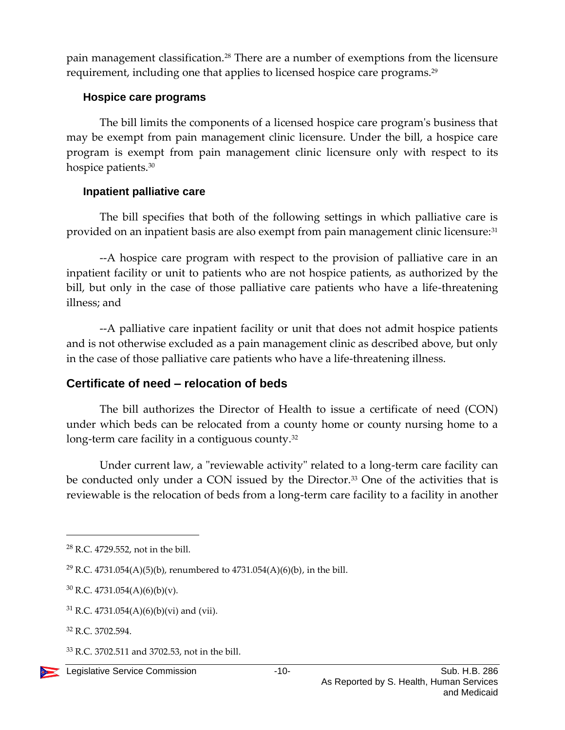pain management classification.<sup>28</sup> There are a number of exemptions from the licensure requirement, including one that applies to licensed hospice care programs.<sup>29</sup>

#### <span id="page-9-0"></span>**Hospice care programs**

The bill limits the components of a licensed hospice care program's business that may be exempt from pain management clinic licensure. Under the bill, a hospice care program is exempt from pain management clinic licensure only with respect to its hospice patients.<sup>30</sup>

#### <span id="page-9-1"></span>**Inpatient palliative care**

The bill specifies that both of the following settings in which palliative care is provided on an inpatient basis are also exempt from pain management clinic licensure:<sup>31</sup>

--A hospice care program with respect to the provision of palliative care in an inpatient facility or unit to patients who are not hospice patients, as authorized by the bill, but only in the case of those palliative care patients who have a life-threatening illness; and

--A palliative care inpatient facility or unit that does not admit hospice patients and is not otherwise excluded as a pain management clinic as described above, but only in the case of those palliative care patients who have a life-threatening illness.

## <span id="page-9-2"></span>**Certificate of need – relocation of beds**

The bill authorizes the Director of Health to issue a certificate of need (CON) under which beds can be relocated from a county home or county nursing home to a long-term care facility in a contiguous county.<sup>32</sup>

Under current law, a "reviewable activity" related to a long-term care facility can be conducted only under a CON issued by the Director.<sup>33</sup> One of the activities that is reviewable is the relocation of beds from a long-term care facility to a facility in another

<sup>30</sup> R.C. 4731.054(A)(6)(b)(v).

<sup>28</sup> R.C. 4729.552, not in the bill.

<sup>&</sup>lt;sup>29</sup> R.C. 4731.054(A)(5)(b), renumbered to 4731.054(A)(6)(b), in the bill.

 $31$  R.C. 4731.054(A)(6)(b)(vi) and (vii).

<sup>32</sup> R.C. 3702.594.

 $33$  R.C. 3702.511 and 3702.53, not in the bill.